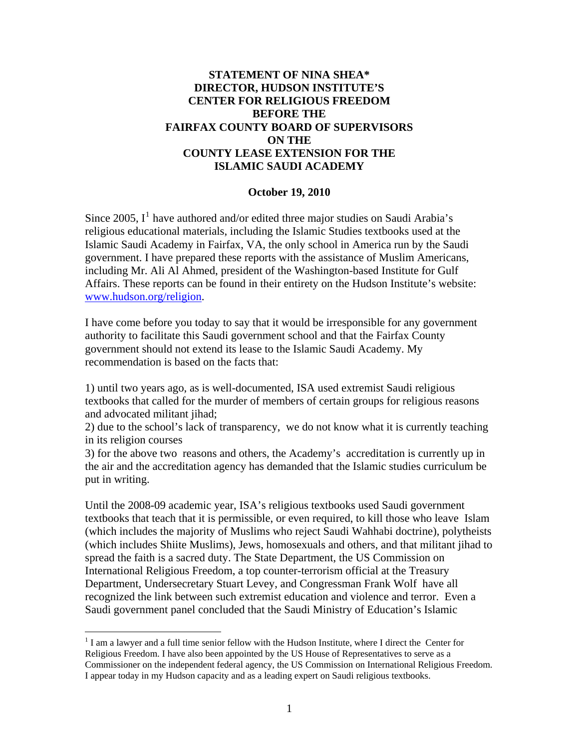## **STATEMENT OF NINA SHEA\* DIRECTOR, HUDSON INSTITUTE'S CENTER FOR RELIGIOUS FREEDOM BEFORE THE FAIRFAX COUNTY BOARD OF SUPERVISORS ON THE COUNTY LEASE EXTENSION FOR THE ISLAMIC SAUDI ACADEMY**

## **October 19, 2010**

Since 2005,  $I<sup>1</sup>$  $I<sup>1</sup>$  $I<sup>1</sup>$  have authored and/or edited three major studies on Saudi Arabia's religious educational materials, including the Islamic Studies textbooks used at the Islamic Saudi Academy in Fairfax, VA, the only school in America run by the Saudi government. I have prepared these reports with the assistance of Muslim Americans, including Mr. Ali Al Ahmed, president of the Washington-based Institute for Gulf Affairs. These reports can be found in their entirety on the Hudson Institute's website: [www.hudson.org/religion](http://www.hudson.org/religion).

I have come before you today to say that it would be irresponsible for any government authority to facilitate this Saudi government school and that the Fairfax County government should not extend its lease to the Islamic Saudi Academy. My recommendation is based on the facts that:

1) until two years ago, as is well-documented, ISA used extremist Saudi religious textbooks that called for the murder of members of certain groups for religious reasons and advocated militant jihad;

2) due to the school's lack of transparency, we do not know what it is currently teaching in its religion courses

3) for the above two reasons and others, the Academy's accreditation is currently up in the air and the accreditation agency has demanded that the Islamic studies curriculum be put in writing.

Until the 2008-09 academic year, ISA's religious textbooks used Saudi government textbooks that teach that it is permissible, or even required, to kill those who leave Islam (which includes the majority of Muslims who reject Saudi Wahhabi doctrine), polytheists (which includes Shiite Muslims), Jews, homosexuals and others, and that militant jihad to spread the faith is a sacred duty. The State Department, the US Commission on International Religious Freedom, a top counter-terrorism official at the Treasury Department, Undersecretary Stuart Levey, and Congressman Frank Wolf have all recognized the link between such extremist education and violence and terror. Even a Saudi government panel concluded that the Saudi Ministry of Education's Islamic

 $\overline{a}$ 

<span id="page-0-0"></span> $<sup>1</sup>$  I am a lawyer and a full time senior fellow with the Hudson Institute, where I direct the Center for</sup> Religious Freedom. I have also been appointed by the US House of Representatives to serve as a Commissioner on the independent federal agency, the US Commission on International Religious Freedom. I appear today in my Hudson capacity and as a leading expert on Saudi religious textbooks.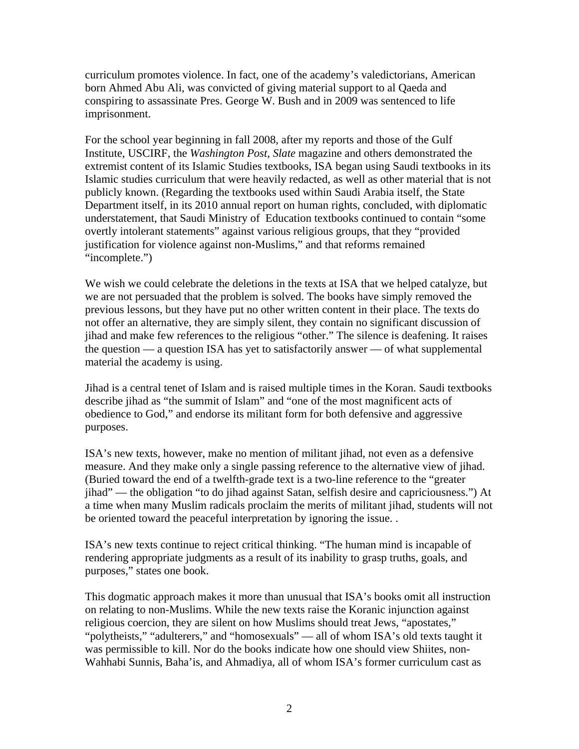curriculum promotes violence. In fact, one of the academy's valedictorians, American born Ahmed Abu Ali, was convicted of giving material support to al Qaeda and conspiring to assassinate Pres. George W. Bush and in 2009 was sentenced to life imprisonment.

For the school year beginning in fall 2008, after my reports and those of the Gulf Institute, USCIRF, the *Washington Post*, *Slate* magazine and others demonstrated the extremist content of its Islamic Studies textbooks, ISA began using Saudi textbooks in its Islamic studies curriculum that were heavily redacted, as well as other material that is not publicly known. (Regarding the textbooks used within Saudi Arabia itself, the State Department itself, in its 2010 annual report on human rights, concluded, with diplomatic understatement, that Saudi Ministry of Education textbooks continued to contain "some overtly intolerant statements" against various religious groups, that they "provided justification for violence against non-Muslims," and that reforms remained "incomplete.")

We wish we could celebrate the deletions in the texts at ISA that we helped catalyze, but we are not persuaded that the problem is solved. The books have simply removed the previous lessons, but they have put no other written content in their place. The texts do not offer an alternative, they are simply silent, they contain no significant discussion of jihad and make few references to the religious "other." The silence is deafening. It raises the question — a question ISA has yet to satisfactorily answer — of what supplemental material the academy is using.

Jihad is a central tenet of Islam and is raised multiple times in the Koran. Saudi textbooks describe jihad as "the summit of Islam" and "one of the most magnificent acts of obedience to God," and endorse its militant form for both defensive and aggressive purposes.

ISA's new texts, however, make no mention of militant jihad, not even as a defensive measure. And they make only a single passing reference to the alternative view of jihad. (Buried toward the end of a twelfth-grade text is a two-line reference to the "greater jihad" — the obligation "to do jihad against Satan, selfish desire and capriciousness.") At a time when many Muslim radicals proclaim the merits of militant jihad, students will not be oriented toward the peaceful interpretation by ignoring the issue. .

ISA's new texts continue to reject critical thinking. "The human mind is incapable of rendering appropriate judgments as a result of its inability to grasp truths, goals, and purposes," states one book.

This dogmatic approach makes it more than unusual that ISA's books omit all instruction on relating to non-Muslims. While the new texts raise the Koranic injunction against religious coercion, they are silent on how Muslims should treat Jews, "apostates," "polytheists," "adulterers," and "homosexuals" — all of whom ISA's old texts taught it was permissible to kill. Nor do the books indicate how one should view Shiites, non-Wahhabi Sunnis, Baha'is, and Ahmadiya, all of whom ISA's former curriculum cast as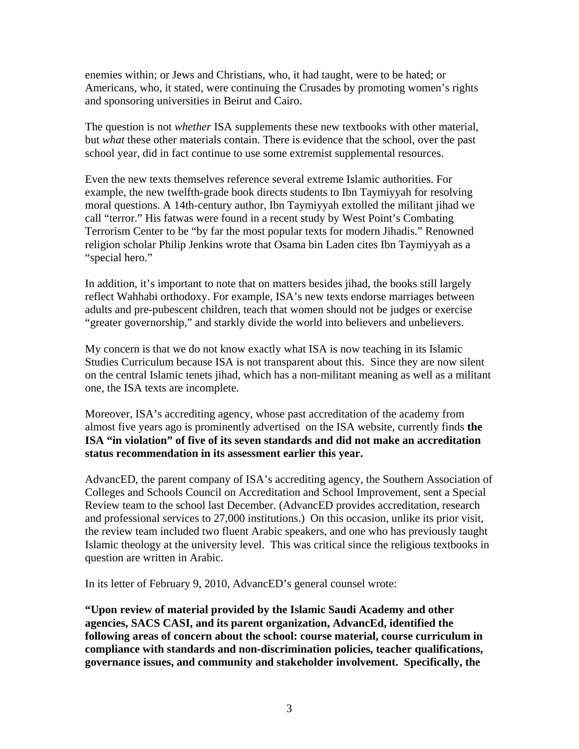enemies within; or Jews and Christians, who, it had taught, were to be hated; or Americans, who, it stated, were continuing the Crusades by promoting women's rights and sponsoring universities in Beirut and Cairo.

The question is not *whether* ISA supplements these new textbooks with other material, but *what* these other materials contain. There is evidence that the school, over the past school year, did in fact continue to use some extremist supplemental resources.

Even the new texts themselves reference several extreme Islamic authorities. For example, the new twelfth-grade book directs students to Ibn Taymiyyah for resolving moral questions. A 14th-century author, Ibn Taymiyyah extolled the militant jihad we call "terror." His fatwas were found in a recent study by West Point's Combating Terrorism Center to be "by far the most popular texts for modern Jihadis." Renowned religion scholar Philip Jenkins wrote that Osama bin Laden cites Ibn Taymiyyah as a "special hero."

In addition, it's important to note that on matters besides jihad, the books still largely reflect Wahhabi orthodoxy. For example, ISA's new texts endorse marriages between adults and pre-pubescent children, teach that women should not be judges or exercise "greater governorship," and starkly divide the world into believers and unbelievers.

My concern is that we do not know exactly what ISA is now teaching in its Islamic Studies Curriculum because ISA is not transparent about this. Since they are now silent on the central Islamic tenets jihad, which has a non-militant meaning as well as a militant one, the ISA texts are incomplete.

Moreover, ISA's accrediting agency, whose past accreditation of the academy from almost five years ago is prominently advertised on the ISA website, currently finds **the ISA "in violation" of five of its seven standards and did not make an accreditation status recommendation in its assessment earlier this year.** 

AdvancED, the parent company of ISA's accrediting agency, the Southern Association of Colleges and Schools Council on Accreditation and School Improvement, sent a Special Review team to the school last December. (AdvancED provides accreditation, research and professional services to 27,000 institutions.) On this occasion, unlike its prior visit, the review team included two fluent Arabic speakers, and one who has previously taught Islamic theology at the university level. This was critical since the religious textbooks in question are written in Arabic.

In its letter of February 9, 2010, AdvancED's general counsel wrote:

**"Upon review of material provided by the Islamic Saudi Academy and other agencies, SACS CASI, and its parent organization, AdvancEd, identified the following areas of concern about the school: course material, course curriculum in compliance with standards and non-discrimination policies, teacher qualifications, governance issues, and community and stakeholder involvement. Specifically, the**